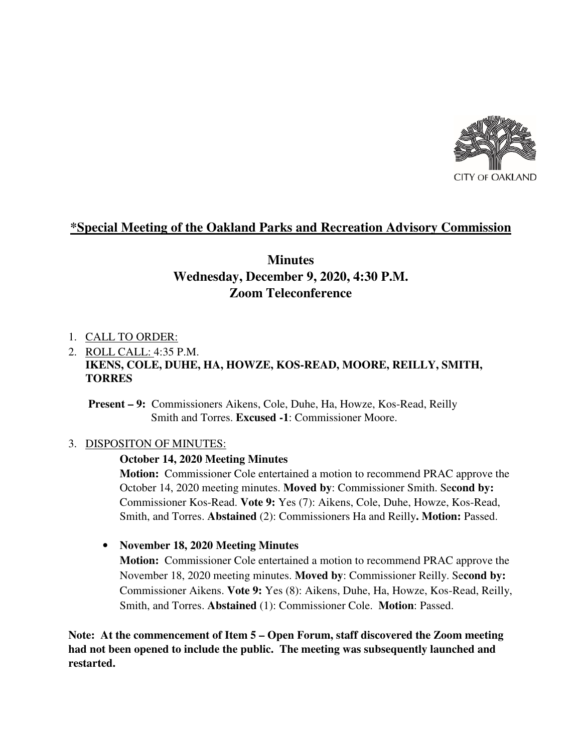

## **\*Special Meeting of the Oakland Parks and Recreation Advisory Commission**

# **Minutes Wednesday, December 9, 2020, 4:30 P.M. Zoom Teleconference**

#### 1. CALL TO ORDER:

## 2. ROLL CALL: 4:35 P.M. **IKENS, COLE, DUHE, HA, HOWZE, KOS-READ, MOORE, REILLY, SMITH, TORRES**

 **Present – 9:** Commissioners Aikens, Cole, Duhe, Ha, Howze, Kos-Read, Reilly Smith and Torres. **Excused -1**: Commissioner Moore.

#### 3. DISPOSITON OF MINUTES:

#### **October 14, 2020 Meeting Minutes**

**Motion:** Commissioner Cole entertained a motion to recommend PRAC approve the October 14, 2020 meeting minutes. **Moved by**: Commissioner Smith. Se**cond by:** Commissioner Kos-Read. **Vote 9:** Yes (7): Aikens, Cole, Duhe, Howze, Kos-Read, Smith, and Torres. **Abstained** (2): Commissioners Ha and Reilly**. Motion:** Passed.

## • **November 18, 2020 Meeting Minutes**

**Motion:** Commissioner Cole entertained a motion to recommend PRAC approve the November 18, 2020 meeting minutes. **Moved by**: Commissioner Reilly. Se**cond by:** Commissioner Aikens. **Vote 9:** Yes (8): Aikens, Duhe, Ha, Howze, Kos-Read, Reilly, Smith, and Torres. **Abstained** (1): Commissioner Cole. **Motion**: Passed.

**Note: At the commencement of Item 5 – Open Forum, staff discovered the Zoom meeting had not been opened to include the public. The meeting was subsequently launched and restarted.**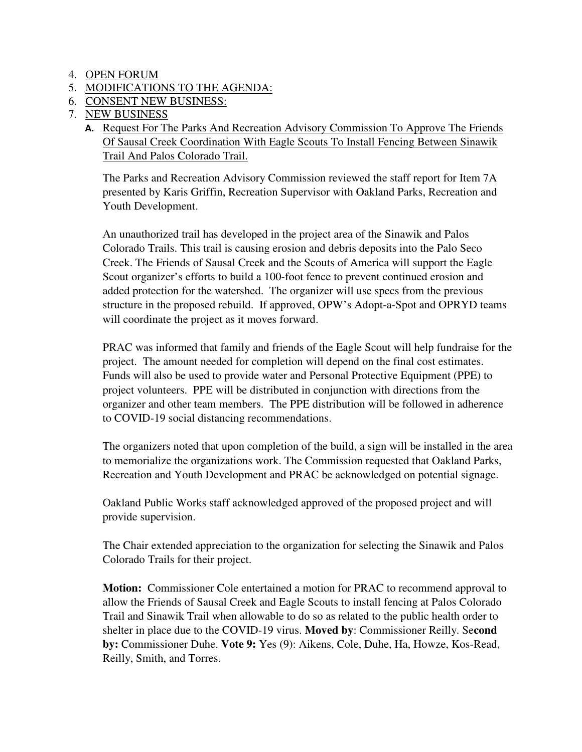- 4. OPEN FORUM
- 5. MODIFICATIONS TO THE AGENDA:
- 6. CONSENT NEW BUSINESS:
- 7. NEW BUSINESS
	- **A.** Request For The Parks And Recreation Advisory Commission To Approve The Friends Of Sausal Creek Coordination With Eagle Scouts To Install Fencing Between Sinawik Trail And Palos Colorado Trail.

 The Parks and Recreation Advisory Commission reviewed the staff report for Item 7A presented by Karis Griffin, Recreation Supervisor with Oakland Parks, Recreation and Youth Development.

An unauthorized trail has developed in the project area of the Sinawik and Palos Colorado Trails. This trail is causing erosion and debris deposits into the Palo Seco Creek. The Friends of Sausal Creek and the Scouts of America will support the Eagle Scout organizer's efforts to build a 100-foot fence to prevent continued erosion and added protection for the watershed. The organizer will use specs from the previous structure in the proposed rebuild. If approved, OPW's Adopt-a-Spot and OPRYD teams will coordinate the project as it moves forward.

PRAC was informed that family and friends of the Eagle Scout will help fundraise for the project. The amount needed for completion will depend on the final cost estimates. Funds will also be used to provide water and Personal Protective Equipment (PPE) to project volunteers. PPE will be distributed in conjunction with directions from the organizer and other team members. The PPE distribution will be followed in adherence to COVID-19 social distancing recommendations.

The organizers noted that upon completion of the build, a sign will be installed in the area to memorialize the organizations work. The Commission requested that Oakland Parks, Recreation and Youth Development and PRAC be acknowledged on potential signage.

Oakland Public Works staff acknowledged approved of the proposed project and will provide supervision.

The Chair extended appreciation to the organization for selecting the Sinawik and Palos Colorado Trails for their project.

**Motion:** Commissioner Cole entertained a motion for PRAC to recommend approval to allow the Friends of Sausal Creek and Eagle Scouts to install fencing at Palos Colorado Trail and Sinawik Trail when allowable to do so as related to the public health order to shelter in place due to the COVID-19 virus. **Moved by**: Commissioner Reilly. Se**cond by:** Commissioner Duhe. **Vote 9:** Yes (9): Aikens, Cole, Duhe, Ha, Howze, Kos-Read, Reilly, Smith, and Torres.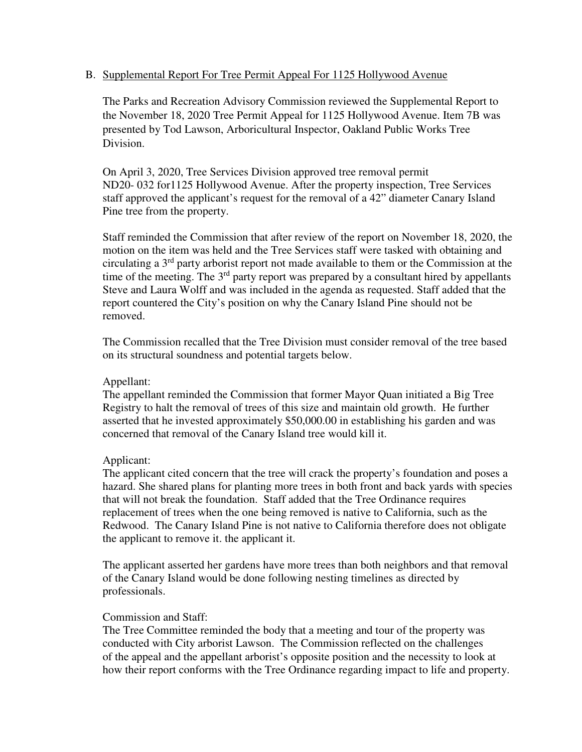#### B. Supplemental Report For Tree Permit Appeal For 1125 Hollywood Avenue

 The Parks and Recreation Advisory Commission reviewed the Supplemental Report to the November 18, 2020 Tree Permit Appeal for 1125 Hollywood Avenue. Item 7B was presented by Tod Lawson, Arboricultural Inspector, Oakland Public Works Tree Division.

On April 3, 2020, Tree Services Division approved tree removal permit ND20- 032 for1125 Hollywood Avenue. After the property inspection, Tree Services staff approved the applicant's request for the removal of a 42" diameter Canary Island Pine tree from the property.

Staff reminded the Commission that after review of the report on November 18, 2020, the motion on the item was held and the Tree Services staff were tasked with obtaining and circulating a 3rd party arborist report not made available to them or the Commission at the time of the meeting. The  $3<sup>rd</sup>$  party report was prepared by a consultant hired by appellants Steve and Laura Wolff and was included in the agenda as requested. Staff added that the report countered the City's position on why the Canary Island Pine should not be removed.

The Commission recalled that the Tree Division must consider removal of the tree based on its structural soundness and potential targets below.

#### Appellant:

The appellant reminded the Commission that former Mayor Quan initiated a Big Tree Registry to halt the removal of trees of this size and maintain old growth. He further asserted that he invested approximately \$50,000.00 in establishing his garden and was concerned that removal of the Canary Island tree would kill it.

#### Applicant:

The applicant cited concern that the tree will crack the property's foundation and poses a hazard. She shared plans for planting more trees in both front and back yards with species that will not break the foundation. Staff added that the Tree Ordinance requires replacement of trees when the one being removed is native to California, such as the Redwood. The Canary Island Pine is not native to California therefore does not obligate the applicant to remove it. the applicant it.

 The applicant asserted her gardens have more trees than both neighbors and that removal of the Canary Island would be done following nesting timelines as directed by professionals.

## Commission and Staff:

 The Tree Committee reminded the body that a meeting and tour of the property was conducted with City arborist Lawson. The Commission reflected on the challenges of the appeal and the appellant arborist's opposite position and the necessity to look at how their report conforms with the Tree Ordinance regarding impact to life and property.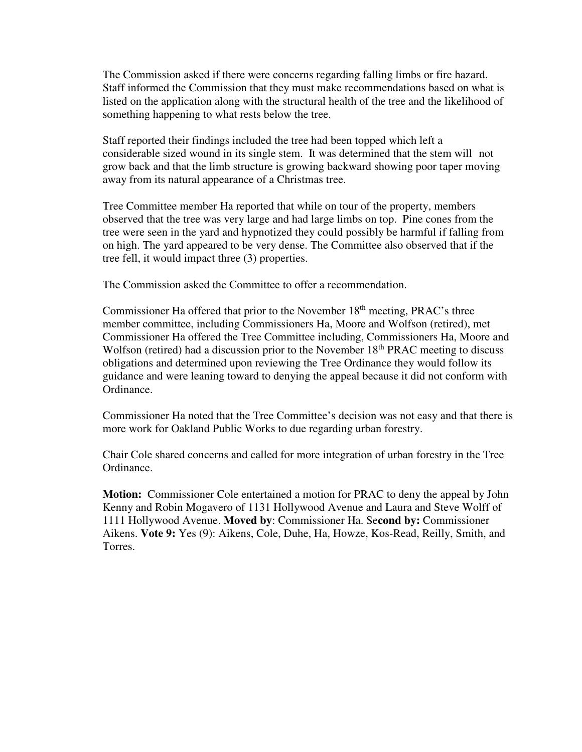The Commission asked if there were concerns regarding falling limbs or fire hazard. Staff informed the Commission that they must make recommendations based on what is listed on the application along with the structural health of the tree and the likelihood of something happening to what rests below the tree.

 Staff reported their findings included the tree had been topped which left a considerable sized wound in its single stem. It was determined that the stem will not grow back and that the limb structure is growing backward showing poor taper moving away from its natural appearance of a Christmas tree.

 Tree Committee member Ha reported that while on tour of the property, members observed that the tree was very large and had large limbs on top. Pine cones from the tree were seen in the yard and hypnotized they could possibly be harmful if falling from on high. The yard appeared to be very dense. The Committee also observed that if the tree fell, it would impact three (3) properties.

The Commission asked the Committee to offer a recommendation.

Commissioner Ha offered that prior to the November 18<sup>th</sup> meeting, PRAC's three member committee, including Commissioners Ha, Moore and Wolfson (retired), met Commissioner Ha offered the Tree Committee including, Commissioners Ha, Moore and Wolfson (retired) had a discussion prior to the November 18<sup>th</sup> PRAC meeting to discuss obligations and determined upon reviewing the Tree Ordinance they would follow its guidance and were leaning toward to denying the appeal because it did not conform with Ordinance.

 Commissioner Ha noted that the Tree Committee's decision was not easy and that there is more work for Oakland Public Works to due regarding urban forestry.

 Chair Cole shared concerns and called for more integration of urban forestry in the Tree Ordinance.

**Motion:** Commissioner Cole entertained a motion for PRAC to deny the appeal by John Kenny and Robin Mogavero of 1131 Hollywood Avenue and Laura and Steve Wolff of 1111 Hollywood Avenue. **Moved by**: Commissioner Ha. Se**cond by:** Commissioner Aikens. **Vote 9:** Yes (9): Aikens, Cole, Duhe, Ha, Howze, Kos-Read, Reilly, Smith, and Torres.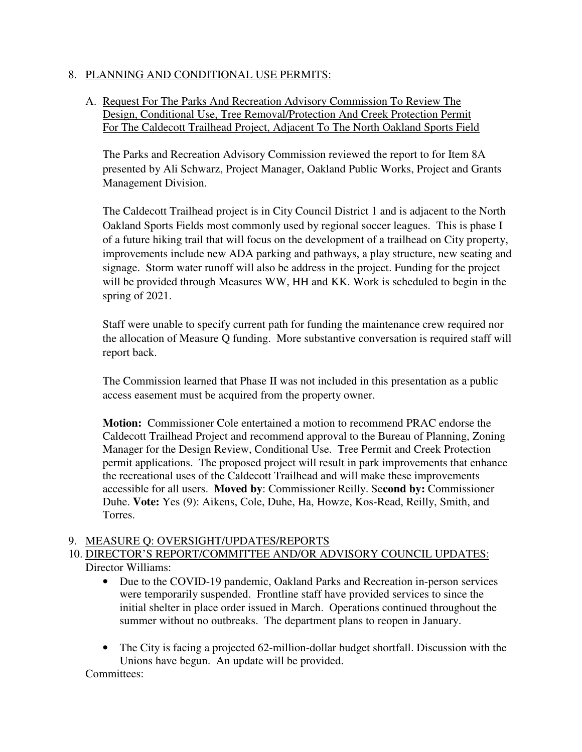## 8. PLANNING AND CONDITIONAL USE PERMITS:

## A. Request For The Parks And Recreation Advisory Commission To Review The Design, Conditional Use, Tree Removal/Protection And Creek Protection Permit For The Caldecott Trailhead Project, Adjacent To The North Oakland Sports Field

 The Parks and Recreation Advisory Commission reviewed the report to for Item 8A presented by Ali Schwarz, Project Manager, Oakland Public Works, Project and Grants Management Division.

The Caldecott Trailhead project is in City Council District 1 and is adjacent to the North Oakland Sports Fields most commonly used by regional soccer leagues. This is phase I of a future hiking trail that will focus on the development of a trailhead on City property, improvements include new ADA parking and pathways, a play structure, new seating and signage. Storm water runoff will also be address in the project. Funding for the project will be provided through Measures WW, HH and KK. Work is scheduled to begin in the spring of 2021.

Staff were unable to specify current path for funding the maintenance crew required nor the allocation of Measure Q funding. More substantive conversation is required staff will report back.

The Commission learned that Phase II was not included in this presentation as a public access easement must be acquired from the property owner.

**Motion:** Commissioner Cole entertained a motion to recommend PRAC endorse the Caldecott Trailhead Project and recommend approval to the Bureau of Planning, Zoning Manager for the Design Review, Conditional Use. Tree Permit and Creek Protection permit applications. The proposed project will result in park improvements that enhance the recreational uses of the Caldecott Trailhead and will make these improvements accessible for all users. **Moved by**: Commissioner Reilly. Se**cond by:** Commissioner Duhe. **Vote:** Yes (9): Aikens, Cole, Duhe, Ha, Howze, Kos-Read, Reilly, Smith, and Torres.

## 9. MEASURE Q: OVERSIGHT/UPDATES/REPORTS

## 10. DIRECTOR'S REPORT/COMMITTEE AND/OR ADVISORY COUNCIL UPDATES: Director Williams:

- Due to the COVID-19 pandemic, Oakland Parks and Recreation in-person services were temporarily suspended. Frontline staff have provided services to since the initial shelter in place order issued in March. Operations continued throughout the summer without no outbreaks. The department plans to reopen in January.
- The City is facing a projected 62-million-dollar budget shortfall. Discussion with the Unions have begun. An update will be provided.

Committees: